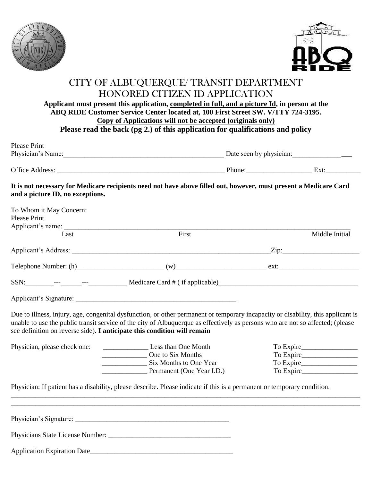



## CITY OF ALBUQUERQUE/ TRANSIT DEPARTMENT HONORED CITIZEN ID APPLICATION **Applicant must present this application, completed in full, and a picture Id, in person at the ABQ RIDE Customer Service Center located at, 100 First Street SW. V/TTY 724-3195.**

**Copy of Applications will not be accepted (originals only)**

**Please read the back (pg 2.) of this application for qualifications and policy**

| Please Print           |        |                         |  |  |
|------------------------|--------|-------------------------|--|--|
| Physician's Name:      |        | Date seen by physician: |  |  |
|                        |        |                         |  |  |
| <b>Office Address:</b> | Phone: | Ext:                    |  |  |

**It is not necessary for Medicare recipients need not have above filled out, however, must present a Medicare Card and a picture ID, no exceptions.**

| To Whom it May Concern:                                                  |                                                                                                                                                                                                                                                                    |                |
|--------------------------------------------------------------------------|--------------------------------------------------------------------------------------------------------------------------------------------------------------------------------------------------------------------------------------------------------------------|----------------|
| <b>Please Print</b>                                                      |                                                                                                                                                                                                                                                                    |                |
| Last                                                                     | First                                                                                                                                                                                                                                                              | Middle Initial |
|                                                                          |                                                                                                                                                                                                                                                                    | $\chi$ ip:     |
|                                                                          |                                                                                                                                                                                                                                                                    |                |
|                                                                          |                                                                                                                                                                                                                                                                    |                |
|                                                                          |                                                                                                                                                                                                                                                                    |                |
| see definition on reverse side). I anticipate this condition will remain | Due to illness, injury, age, congenital dysfunction, or other permanent or temporary incapacity or disability, this applicant is<br>unable to use the public transit service of the city of Albuquerque as effectively as persons who are not so affected; (please |                |
| Physician, please check one:                                             | Less than One Month                                                                                                                                                                                                                                                | To Expire      |
|                                                                          | One to Six Months                                                                                                                                                                                                                                                  |                |
|                                                                          | Six Months to One Year                                                                                                                                                                                                                                             |                |
|                                                                          | Permanent (One Year I.D.)                                                                                                                                                                                                                                          |                |
|                                                                          | Physician: If patient has a disability, please describe. Please indicate if this is a permanent or temporary condition.                                                                                                                                            |                |
|                                                                          |                                                                                                                                                                                                                                                                    |                |
|                                                                          |                                                                                                                                                                                                                                                                    |                |
|                                                                          |                                                                                                                                                                                                                                                                    |                |
|                                                                          |                                                                                                                                                                                                                                                                    |                |